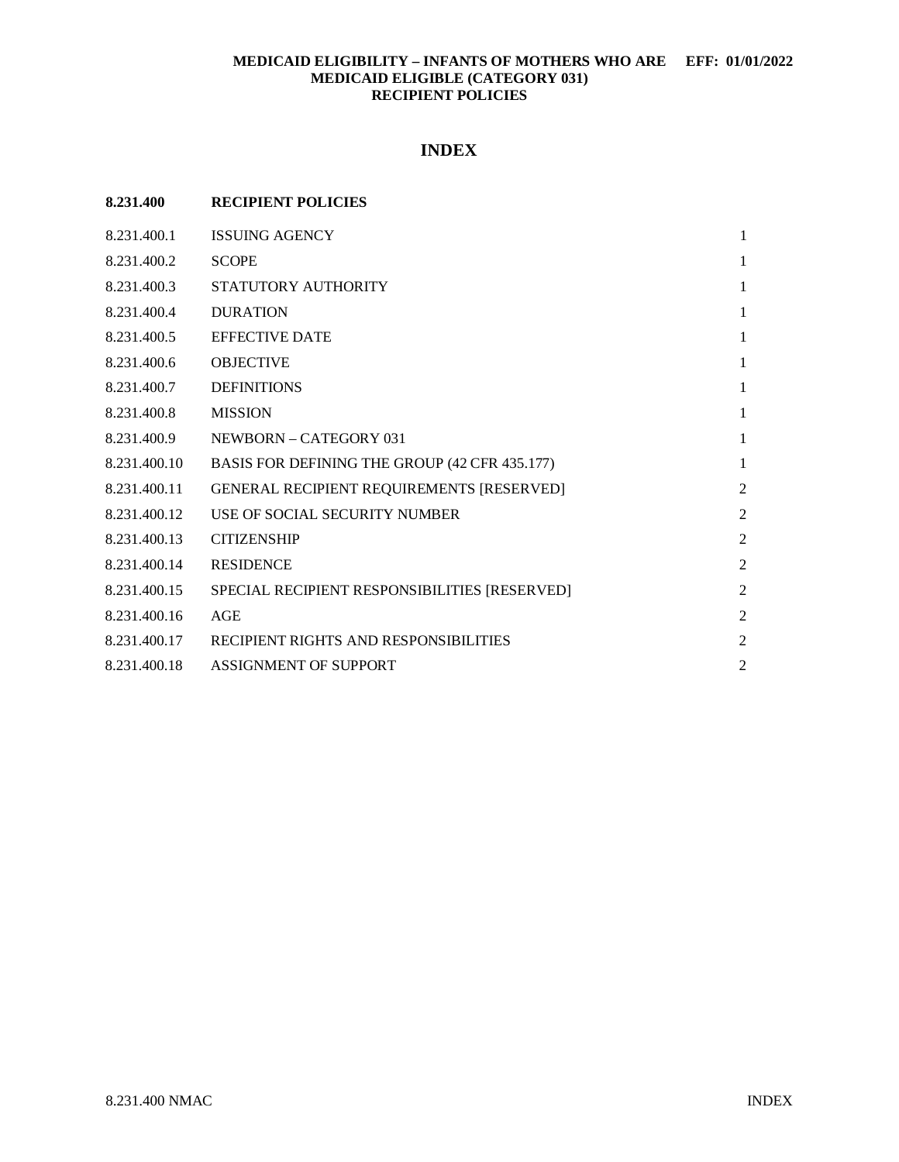## **INDEX**

| 8.231.400    | <b>RECIPIENT POLICIES</b>                        |                |
|--------------|--------------------------------------------------|----------------|
| 8.231.400.1  | <b>ISSUING AGENCY</b>                            | 1              |
| 8.231.400.2  | <b>SCOPE</b>                                     | 1              |
| 8.231.400.3  | STATUTORY AUTHORITY                              | $\mathbf{1}$   |
| 8.231.400.4  | <b>DURATION</b>                                  | 1              |
| 8.231.400.5  | <b>EFFECTIVE DATE</b>                            | 1              |
| 8.231.400.6  | <b>OBJECTIVE</b>                                 | 1              |
| 8.231.400.7  | <b>DEFINITIONS</b>                               | 1              |
| 8.231.400.8  | <b>MISSION</b>                                   | $\mathbf{1}$   |
| 8.231.400.9  | NEWBORN – CATEGORY 031                           | $\mathbf{1}$   |
| 8.231.400.10 | BASIS FOR DEFINING THE GROUP (42 CFR 435.177)    | $\mathbf{1}$   |
| 8.231.400.11 | <b>GENERAL RECIPIENT REQUIREMENTS [RESERVED]</b> | $\overline{c}$ |
| 8.231.400.12 | USE OF SOCIAL SECURITY NUMBER                    | $\overline{c}$ |
| 8.231.400.13 | <b>CITIZENSHIP</b>                               | $\overline{c}$ |
| 8.231.400.14 | <b>RESIDENCE</b>                                 | $\overline{2}$ |
| 8.231.400.15 | SPECIAL RECIPIENT RESPONSIBILITIES [RESERVED]    | $\overline{2}$ |
| 8.231.400.16 | AGE                                              | $\overline{2}$ |
| 8.231.400.17 | RECIPIENT RIGHTS AND RESPONSIBILITIES            | $\overline{c}$ |
| 8.231.400.18 | ASSIGNMENT OF SUPPORT                            | $\overline{c}$ |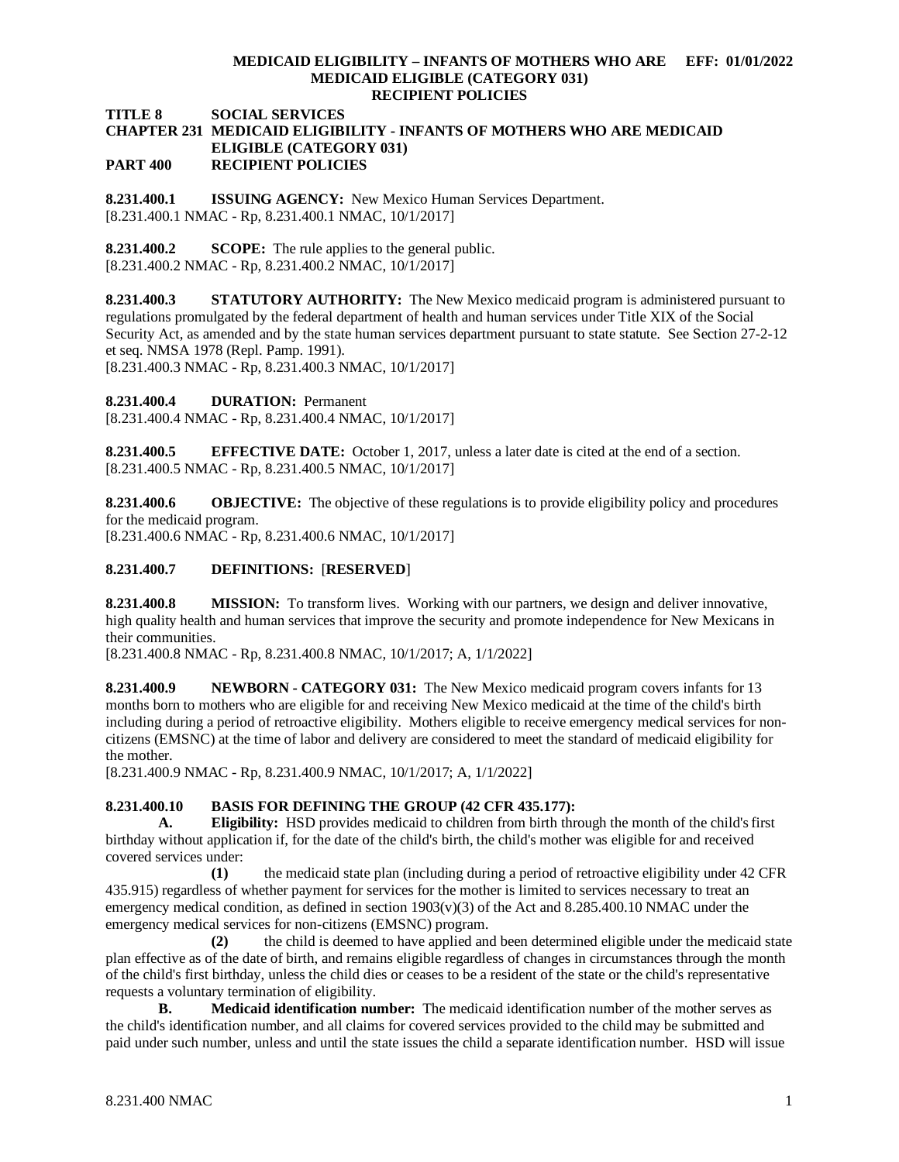**TITLE 8 SOCIAL SERVICES**

## **CHAPTER 231 MEDICAID ELIGIBILITY - INFANTS OF MOTHERS WHO ARE MEDICAID ELIGIBLE (CATEGORY 031)**

**PART 400 RECIPIENT POLICIES**

<span id="page-1-0"></span>**8.231.400.1 ISSUING AGENCY:** New Mexico Human Services Department. [8.231.400.1 NMAC - Rp, 8.231.400.1 NMAC, 10/1/2017]

<span id="page-1-1"></span>**8.231.400.2 SCOPE:** The rule applies to the general public. [8.231.400.2 NMAC - Rp, 8.231.400.2 NMAC, 10/1/2017]

<span id="page-1-2"></span>**8.231.400.3 STATUTORY AUTHORITY:** The New Mexico medicaid program is administered pursuant to regulations promulgated by the federal department of health and human services under Title XIX of the Social Security Act, as amended and by the state human services department pursuant to state statute. See Section 27-2-12 et seq. NMSA 1978 (Repl. Pamp. 1991).

[8.231.400.3 NMAC - Rp, 8.231.400.3 NMAC, 10/1/2017]

<span id="page-1-3"></span>**8.231.400.4 DURATION:** Permanent

[8.231.400.4 NMAC - Rp, 8.231.400.4 NMAC, 10/1/2017]

<span id="page-1-4"></span>**8.231.400.5 EFFECTIVE DATE:** October 1, 2017, unless a later date is cited at the end of a section. [8.231.400.5 NMAC - Rp, 8.231.400.5 NMAC, 10/1/2017]

<span id="page-1-5"></span>**8.231.400.6 OBJECTIVE:** The objective of these regulations is to provide eligibility policy and procedures for the medicaid program.

[8.231.400.6 NMAC - Rp, 8.231.400.6 NMAC, 10/1/2017]

### <span id="page-1-6"></span>**8.231.400.7 DEFINITIONS:** [**RESERVED**]

<span id="page-1-7"></span>**8.231.400.8 MISSION:** To transform lives. Working with our partners, we design and deliver innovative, high quality health and human services that improve the security and promote independence for New Mexicans in their communities.

[8.231.400.8 NMAC - Rp, 8.231.400.8 NMAC, 10/1/2017; A, 1/1/2022]

<span id="page-1-8"></span>**8.231.400.9 NEWBORN - CATEGORY 031:** The New Mexico medicaid program covers infants for 13 months born to mothers who are eligible for and receiving New Mexico medicaid at the time of the child's birth including during a period of retroactive eligibility. Mothers eligible to receive emergency medical services for noncitizens (EMSNC) at the time of labor and delivery are considered to meet the standard of medicaid eligibility for the mother.

[8.231.400.9 NMAC - Rp, 8.231.400.9 NMAC, 10/1/2017; A, 1/1/2022]

# <span id="page-1-9"></span>**8.231.400.10 BASIS FOR DEFINING THE GROUP (42 CFR 435.177):**<br>**A.** Eligibility: HSD provides medicald to children from birth three

**A. Eligibility:** HSD provides medicaid to children from birth through the month of the child's first birthday without application if, for the date of the child's birth, the child's mother was eligible for and received covered services under:

**(1)** the medicaid state plan (including during a period of retroactive eligibility under 42 CFR 435.915) regardless of whether payment for services for the mother is limited to services necessary to treat an emergency medical condition, as defined in section  $1903(v)(3)$  of the Act and 8.285.400.10 NMAC under the emergency medical services for non-citizens (EMSNC) program.

**(2)** the child is deemed to have applied and been determined eligible under the medicaid state plan effective as of the date of birth, and remains eligible regardless of changes in circumstances through the month of the child's first birthday, unless the child dies or ceases to be a resident of the state or the child's representative requests a voluntary termination of eligibility.

**B. Medicaid identification number:** The medicaid identification number of the mother serves as the child's identification number, and all claims for covered services provided to the child may be submitted and paid under such number, unless and until the state issues the child a separate identification number. HSD will issue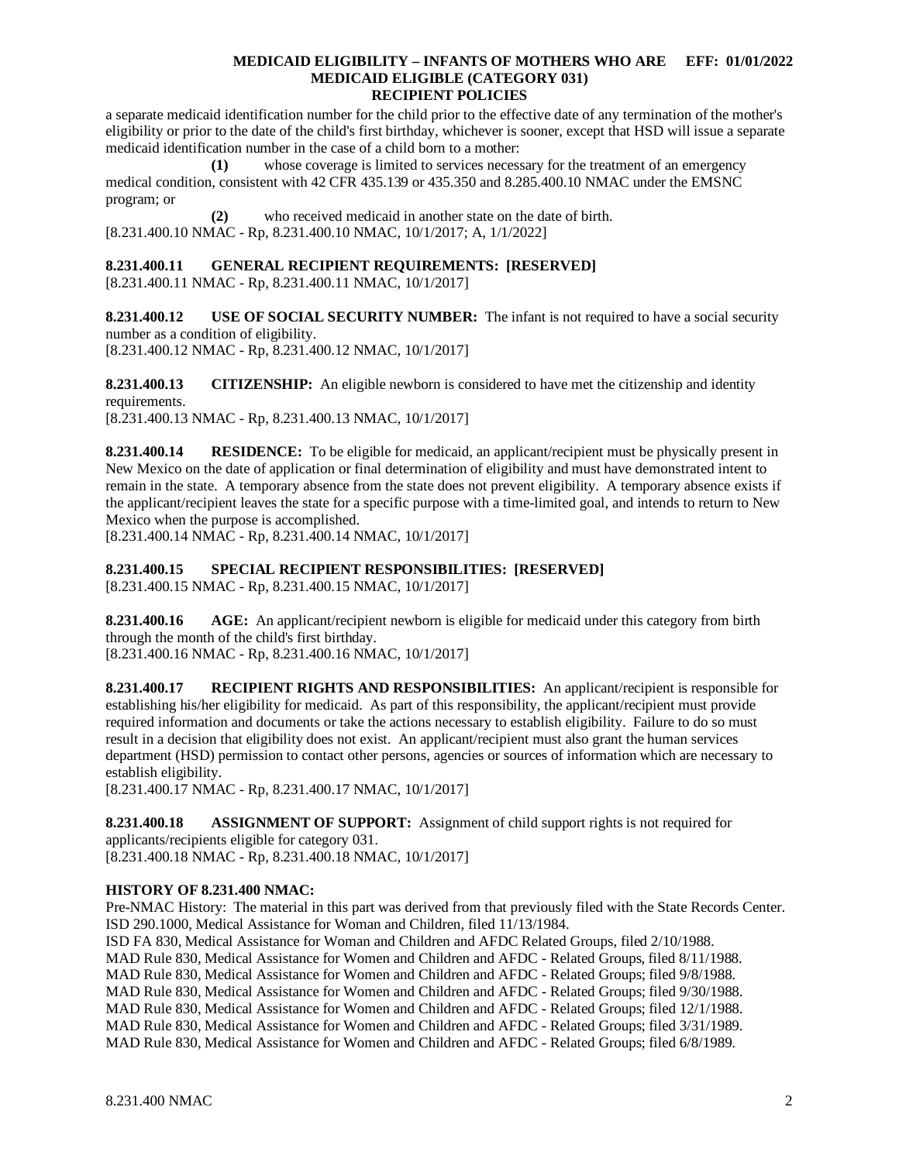a separate medicaid identification number for the child prior to the effective date of any termination of the mother's eligibility or prior to the date of the child's first birthday, whichever is sooner, except that HSD will issue a separate medicaid identification number in the case of a child born to a mother:

**(1)** whose coverage is limited to services necessary for the treatment of an emergency medical condition, consistent with 42 CFR 435.139 or 435.350 and 8.285.400.10 NMAC under the EMSNC program; or

**(2)** who received medicaid in another state on the date of birth. [8.231.400.10 NMAC - Rp, 8.231.400.10 NMAC, 10/1/2017; A, 1/1/2022]

## <span id="page-2-0"></span>**8.231.400.11 GENERAL RECIPIENT REQUIREMENTS: [RESERVED]**

[8.231.400.11 NMAC - Rp, 8.231.400.11 NMAC, 10/1/2017]

<span id="page-2-1"></span>**8.231.400.12 USE OF SOCIAL SECURITY NUMBER:** The infant is not required to have a social security number as a condition of eligibility.

[8.231.400.12 NMAC - Rp, 8.231.400.12 NMAC, 10/1/2017]

<span id="page-2-2"></span>**8.231.400.13 CITIZENSHIP:** An eligible newborn is considered to have met the citizenship and identity requirements.

[8.231.400.13 NMAC - Rp, 8.231.400.13 NMAC, 10/1/2017]

<span id="page-2-3"></span>**8.231.400.14 RESIDENCE:** To be eligible for medicaid, an applicant/recipient must be physically present in New Mexico on the date of application or final determination of eligibility and must have demonstrated intent to remain in the state. A temporary absence from the state does not prevent eligibility. A temporary absence exists if the applicant/recipient leaves the state for a specific purpose with a time-limited goal, and intends to return to New Mexico when the purpose is accomplished.

[8.231.400.14 NMAC - Rp, 8.231.400.14 NMAC, 10/1/2017]

## <span id="page-2-4"></span>**8.231.400.15 SPECIAL RECIPIENT RESPONSIBILITIES: [RESERVED]**

[8.231.400.15 NMAC - Rp, 8.231.400.15 NMAC, 10/1/2017]

<span id="page-2-5"></span>**8.231.400.16 AGE:** An applicant/recipient newborn is eligible for medicaid under this category from birth through the month of the child's first birthday. [8.231.400.16 NMAC - Rp, 8.231.400.16 NMAC, 10/1/2017]

<span id="page-2-6"></span>**8.231.400.17 RECIPIENT RIGHTS AND RESPONSIBILITIES:** An applicant/recipient is responsible for establishing his/her eligibility for medicaid. As part of this responsibility, the applicant/recipient must provide required information and documents or take the actions necessary to establish eligibility. Failure to do so must result in a decision that eligibility does not exist. An applicant/recipient must also grant the human services department (HSD) permission to contact other persons, agencies or sources of information which are necessary to establish eligibility.

[8.231.400.17 NMAC - Rp, 8.231.400.17 NMAC, 10/1/2017]

<span id="page-2-7"></span>**8.231.400.18 ASSIGNMENT OF SUPPORT:** Assignment of child support rights is not required for applicants/recipients eligible for category 031. [8.231.400.18 NMAC - Rp, 8.231.400.18 NMAC, 10/1/2017]

### **HISTORY OF 8.231.400 NMAC:**

Pre-NMAC History: The material in this part was derived from that previously filed with the State Records Center. ISD 290.1000, Medical Assistance for Woman and Children, filed 11/13/1984.

ISD FA 830, Medical Assistance for Woman and Children and AFDC Related Groups, filed 2/10/1988. MAD Rule 830, Medical Assistance for Women and Children and AFDC - Related Groups, filed 8/11/1988. MAD Rule 830, Medical Assistance for Women and Children and AFDC - Related Groups; filed 9/8/1988. MAD Rule 830, Medical Assistance for Women and Children and AFDC - Related Groups; filed 9/30/1988. MAD Rule 830, Medical Assistance for Women and Children and AFDC - Related Groups; filed 12/1/1988. MAD Rule 830, Medical Assistance for Women and Children and AFDC - Related Groups; filed 3/31/1989. MAD Rule 830, Medical Assistance for Women and Children and AFDC - Related Groups; filed 6/8/1989.